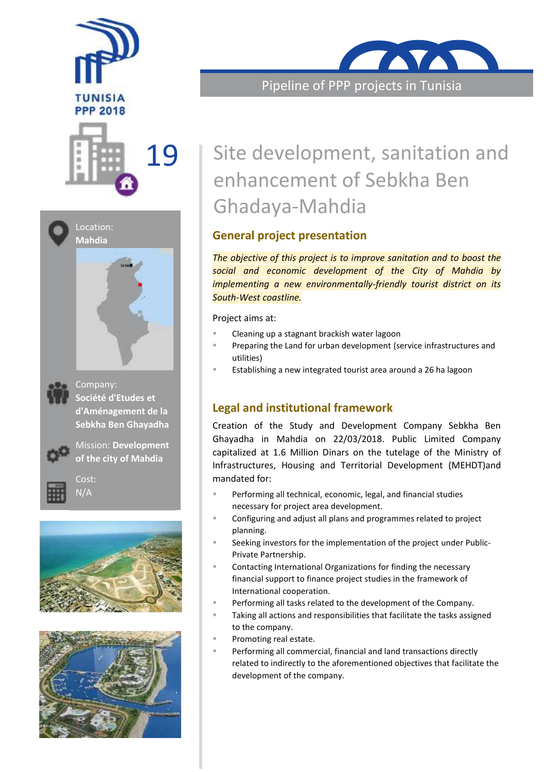



Location: **Mahdia**





Company: **Société d'Etudes et d'Aménagement de la Sebkha Ben Ghayadha**



Mission: **Development of the city of Mahdia**











Pipeline of PPP projects in Tunisia

# 19 Site development, sanitation and enhancement of Sebkha Ben Ghadaya-Mahdia

# **General project presentation**

*The objective of this project is to improve sanitation and to boost the social and economic development of the City of Mahdia by implementing a new environmentally-friendly tourist district on its South-West coastline.*

Project aims at:

- Cleaning up a stagnant brackish water lagoon
- Preparing the Land for urban development (service infrastructures and utilities)
- Establishing a new integrated tourist area around a 26 ha lagoon

### **Legal and institutional framework**

Creation of the Study and Development Company Sebkha Ben Ghayadha in Mahdia on 22/03/2018. Public Limited Company capitalized at 1.6 Million Dinars on the tutelage of the Ministry of Infrastructures, Housing and Territorial Development (MEHDT)and mandated for:

- **Performing all technical, economic, legal, and financial studies** necessary for project area development.
- Configuring and adjust all plans and programmes related to project planning.
- Seeking investors for the implementation of the project under Public- Private Partnership.
- Contacting International Organizations for finding the necessary financial support to finance project studies in the framework of International cooperation.
- Performing all tasks related to the development of the Company.
- Taking all actions and responsibilities that facilitate the tasks assigned to the company.
- Promoting real estate.
- Performing all commercial, financial and land transactions directly related to indirectly to the aforementioned objectives that facilitate the development of the company.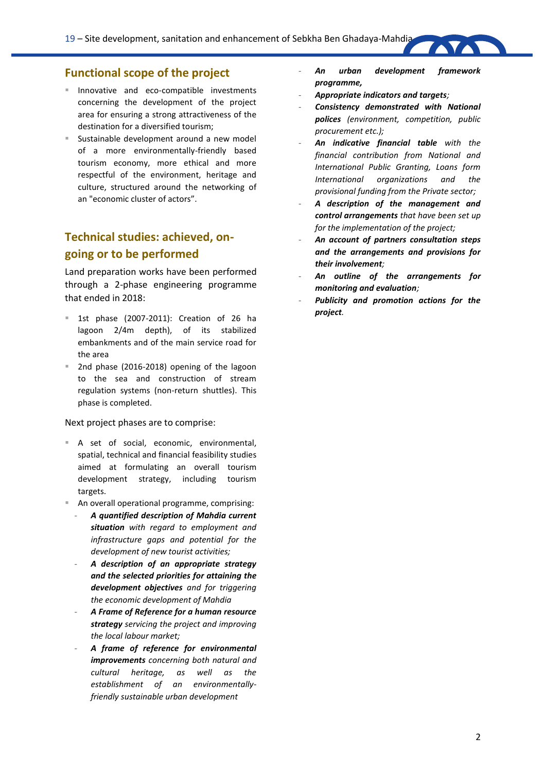### **Functional scope of the project**

- Innovative and eco-compatible investments concerning the development of the project area for ensuring a strong attractiveness of the destination for a diversified tourism;
- Sustainable development around a new model of a more environmentally-friendly based tourism economy, more ethical and more respectful of the environment, heritage and culture, structured around the networking of an "economic cluster of actors".

### **Technical studies: achieved, on going or to be performed**

Land preparation works have been performed through a 2-phase engineering programme that ended in 2018:

- 1st phase (2007-2011): Creation of 26 ha lagoon 2/4m depth), of its stabilized embankments and of the main service road for the area
- 2nd phase (2016-2018) opening of the lagoon to the sea and construction of stream regulation systems (non-return shuttles). This phase is completed.

#### Next project phases are to comprise:

- A set of social, economic, environmental, spatial, technical and financial feasibility studies aimed at formulating an overall tourism development strategy, including tourism targets.
- An overall operational programme, comprising:
	- *A quantified description of Mahdia current situation with regard to employment and infrastructure gaps and potential for the development of new tourist activities;*
	- *A description of an appropriate strategy and the selected priorities for attaining the development objectives and for triggering the economic development of Mahdia*
	- *A Frame of Reference for a human resource strategy servicing the project and improving the local labour market;*
	- *A frame of reference for environmental improvements concerning both natural and cultural heritage, as well as the establishment of an environmentallyfriendly sustainable urban development*
- *An urban development framework programme,*
- *Appropriate indicators and targets;*
- *Consistency demonstrated with National polices (environment, competition, public procurement etc.);*
- *An indicative financial table with the financial contribution from National and International Public Granting, Loans form International organizations and the provisional funding from the Private sector;*
- *A description of the management and control arrangements that have been set up for the implementation of the project;*
- *An account of partners consultation steps and the arrangements and provisions for their involvement;*
- *An outline of the arrangements for monitoring and evaluation;*
- Publicity and promotion actions for the *project.*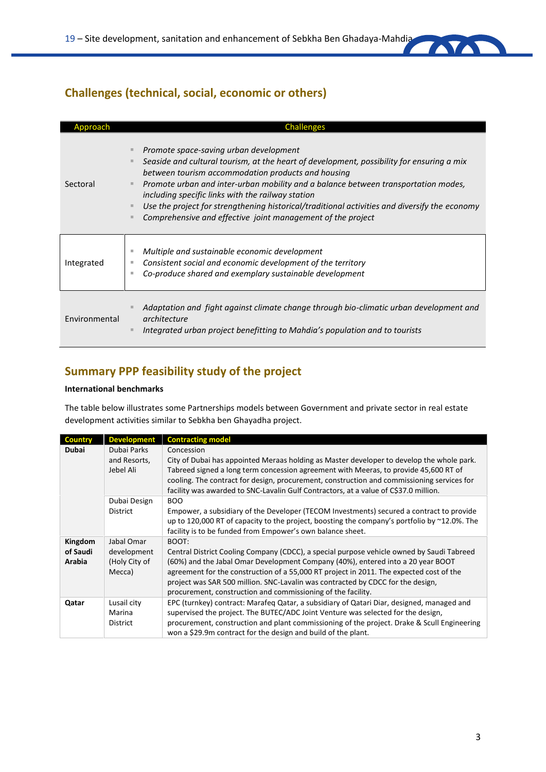### **Challenges (technical, social, economic or others)**

| pproach.      | <b>Challenges</b>                                                                                                                                                                                                                                                                                                                                                                                                                                                                                    |
|---------------|------------------------------------------------------------------------------------------------------------------------------------------------------------------------------------------------------------------------------------------------------------------------------------------------------------------------------------------------------------------------------------------------------------------------------------------------------------------------------------------------------|
| Sectoral      | Promote space-saving urban development<br>Seaside and cultural tourism, at the heart of development, possibility for ensuring a mix<br>between tourism accommodation products and housing<br>Promote urban and inter-urban mobility and a balance between transportation modes,<br>including specific links with the railway station<br>Use the project for strengthening historical/traditional activities and diversify the economy<br>Comprehensive and effective joint management of the project |
| Integrated    | Multiple and sustainable economic development<br>Consistent social and economic development of the territory<br>Co-produce shared and exemplary sustainable development                                                                                                                                                                                                                                                                                                                              |
| Environmental | Adaptation and fight against climate change through bio-climatic urban development and<br>architecture<br>Integrated urban project benefitting to Mahdia's population and to tourists                                                                                                                                                                                                                                                                                                                |

# **Summary PPP feasibility study of the project**

### **International benchmarks**

The table below illustrates some Partnerships models between Government and private sector in real estate development activities similar to Sebkha ben Ghayadha project.

| <b>Country</b> | <b>Development</b> | <b>Contracting model</b>                                                                                                                                                                                                                                                   |
|----------------|--------------------|----------------------------------------------------------------------------------------------------------------------------------------------------------------------------------------------------------------------------------------------------------------------------|
| <b>Dubai</b>   | Dubai Parks        | Concession                                                                                                                                                                                                                                                                 |
|                | and Resorts,       | City of Dubai has appointed Meraas holding as Master developer to develop the whole park.                                                                                                                                                                                  |
|                | Jebel Ali          | Tabreed signed a long term concession agreement with Meeras, to provide 45,600 RT of<br>cooling. The contract for design, procurement, construction and commissioning services for<br>facility was awarded to SNC-Lavalin Gulf Contractors, at a value of C\$37.0 million. |
|                | Dubai Design       | BOO                                                                                                                                                                                                                                                                        |
|                | <b>District</b>    | Empower, a subsidiary of the Developer (TECOM Investments) secured a contract to provide<br>up to 120,000 RT of capacity to the project, boosting the company's portfolio by $\sim$ 12.0%. The<br>facility is to be funded from Empower's own balance sheet.               |
| Kingdom        | Jabal Omar         | BOOT:                                                                                                                                                                                                                                                                      |
| of Saudi       | development        | Central District Cooling Company (CDCC), a special purpose vehicle owned by Saudi Tabreed                                                                                                                                                                                  |
| Arabia         | (Holy City of      | (60%) and the Jabal Omar Development Company (40%), entered into a 20 year BOOT                                                                                                                                                                                            |
|                | Mecca)             | agreement for the construction of a 55,000 RT project in 2011. The expected cost of the<br>project was SAR 500 million. SNC-Lavalin was contracted by CDCC for the design,<br>procurement, construction and commissioning of the facility.                                 |
| Qatar          | Lusail city        | EPC (turnkey) contract: Marafeg Qatar, a subsidiary of Qatari Diar, designed, managed and                                                                                                                                                                                  |
|                | Marina             | supervised the project. The BUTEC/ADC Joint Venture was selected for the design,                                                                                                                                                                                           |
|                | District           | procurement, construction and plant commissioning of the project. Drake & Scull Engineering<br>won a \$29.9m contract for the design and build of the plant.                                                                                                               |